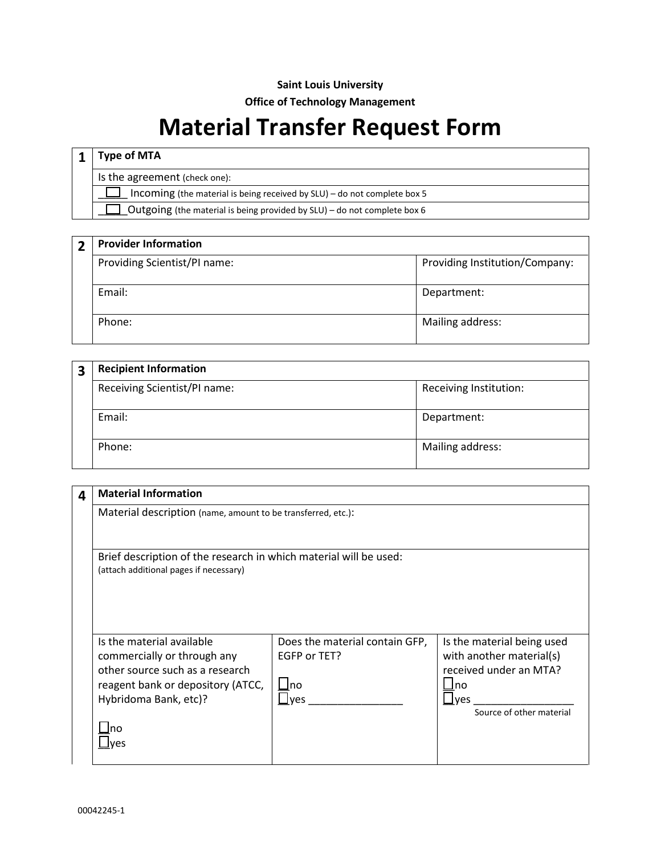## **Saint Louis University**

**Office of Technology Management**

## **Material Transfer Request Form**

|                                                                          | <b>Type of MTA</b>                                                       |  |
|--------------------------------------------------------------------------|--------------------------------------------------------------------------|--|
|                                                                          | Is the agreement (check one):                                            |  |
| Incoming (the material is being received by SLU) - do not complete box 5 |                                                                          |  |
|                                                                          | Outgoing (the material is being provided by SLU) - do not complete box 6 |  |
|                                                                          |                                                                          |  |

| $\overline{\mathbf{2}}$ | <b>Provider Information</b>  |                                |  |
|-------------------------|------------------------------|--------------------------------|--|
|                         | Providing Scientist/PI name: | Providing Institution/Company: |  |
|                         | Email:                       | Department:                    |  |
|                         | Phone:                       | Mailing address:               |  |

|  | <b>Recipient Information</b> |                        |
|--|------------------------------|------------------------|
|  | Receiving Scientist/PI name: | Receiving Institution: |
|  | Email:                       | Department:            |
|  | Phone:                       | Mailing address:       |

| 4 | <b>Material Information</b>                                                                                                                                     |                                                                                  |                                                                                                                                       |  |
|---|-----------------------------------------------------------------------------------------------------------------------------------------------------------------|----------------------------------------------------------------------------------|---------------------------------------------------------------------------------------------------------------------------------------|--|
|   | Material description (name, amount to be transferred, etc.):                                                                                                    |                                                                                  |                                                                                                                                       |  |
|   | Brief description of the research in which material will be used:<br>(attach additional pages if necessary)                                                     |                                                                                  |                                                                                                                                       |  |
|   | Is the material available<br>commercially or through any<br>other source such as a research<br>reagent bank or depository (ATCC,<br>Hybridoma Bank, etc)?<br>no | Does the material contain GFP,<br>EGFP or TET?<br>$\sqcup$ no<br>$\lrcorner$ ves | Is the material being used<br>with another material(s)<br>received under an MTA?<br>$\bigsqcup$ no<br>ves<br>Source of other material |  |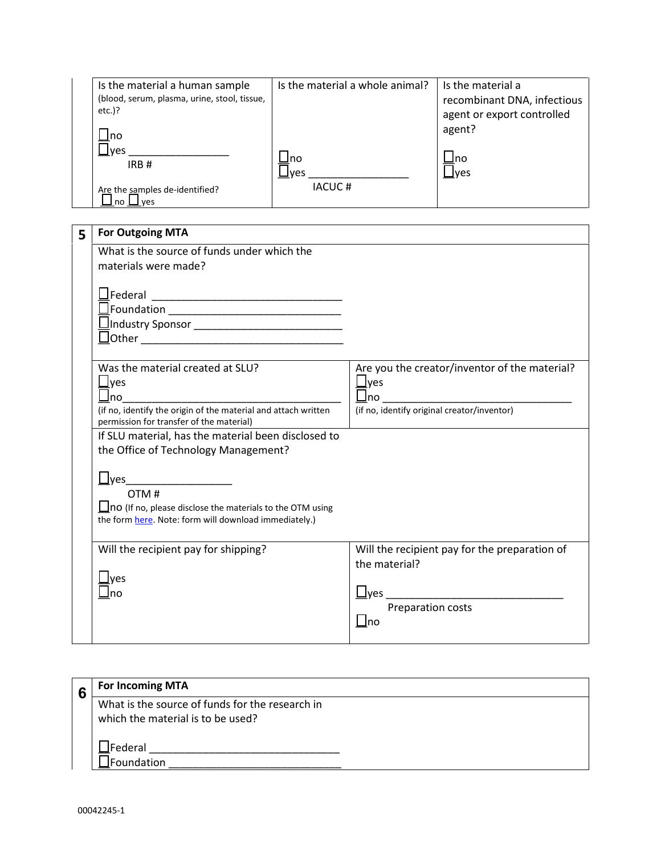| Is the material a human sample               | Is the material a whole animal? | Is the material a           |
|----------------------------------------------|---------------------------------|-----------------------------|
| (blood, serum, plasma, urine, stool, tissue, |                                 | recombinant DNA, infectious |
| $etc.$ )?                                    |                                 | agent or export controlled  |
| -Ino                                         |                                 | agent?                      |
| <u>I</u> ves                                 |                                 |                             |
| IRB#                                         | Ino                             | ⊥no                         |
|                                              | $\square$ ves<br>IACUC#         | ⊿yes                        |
| Are the samples de-identified?<br>ves<br>no  |                                 |                             |

| 5 | <b>For Outgoing MTA</b>                                                                                                                                                     |                                                                                                              |
|---|-----------------------------------------------------------------------------------------------------------------------------------------------------------------------------|--------------------------------------------------------------------------------------------------------------|
|   | What is the source of funds under which the<br>materials were made?                                                                                                         |                                                                                                              |
|   |                                                                                                                                                                             |                                                                                                              |
|   | Was the material created at SLU?<br>$\sqcup$ yes<br>$\Box$ no<br>(if no, identify the origin of the material and attach written<br>permission for transfer of the material) | Are you the creator/inventor of the material?<br>$\sqcup$ yes<br>(if no, identify original creator/inventor) |
|   | If SLU material, has the material been disclosed to<br>the Office of Technology Management?                                                                                 |                                                                                                              |
|   | OTM#<br>$\Box$ no (If no, please disclose the materials to the OTM using<br>the form here. Note: form will download immediately.)                                           |                                                                                                              |
|   | Will the recipient pay for shipping?<br>Jyes<br>Ino                                                                                                                         | Will the recipient pay for the preparation of<br>the material?<br>Preparation costs<br>$\bigsqcup$ no        |

| 6 | <b>For Incoming MTA</b>                         |
|---|-------------------------------------------------|
|   | What is the source of funds for the research in |
|   | which the material is to be used?               |
|   | JFederal                                        |
|   | ⊿Foundation                                     |